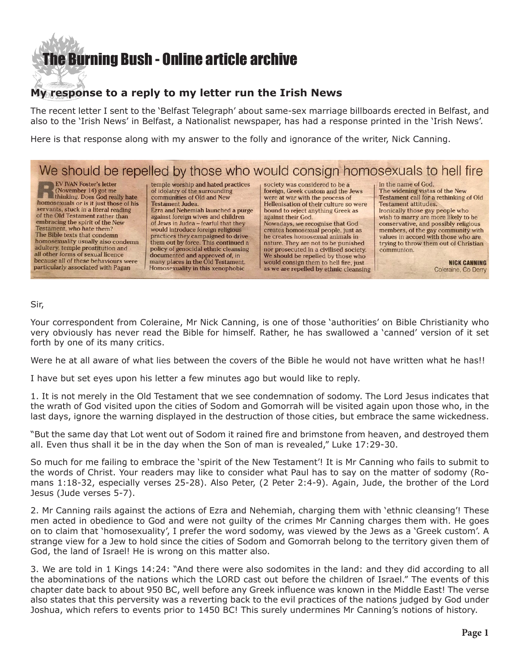## **e Burning Bush - Online article archive**

#### **My response to a reply to my letter run the Irish News**

The recent letter I sent to the 'Belfast Telegraph' about same-sex marriage billboards erected in Belfast, and also to the 'Irish News' in Belfast, a Nationalist newspaper, has had a response printed in the 'Irish News'.

Here is that response along with my answer to the folly and ignorance of the writer, Nick Canning.

### We should be repelled by those who would consign homosexuals to hell fire

**EV IVAN Foster's letter** (November 14) got me thinking. Does God really hate homosexuals or is it just those of his servants, stuck in a literal reading of the Old Testament rather than embracing the spirit of the New Testament, who hate them? The Bible texts that condemn homosexuality usually also condemn adultery, temple prostitution and all other forms of sexual licence because all of these behaviours were particularly associated with Pagan

temple worship and hated practices<br>of idolatry of the surrounding communities of Old and New **Testament Judea.** Ezra and Nehemiah launched a purge against foreign wives and children of Jews in Judea - fearful that they would introduce foreign religious practices they campaigned to drive<br>them out by force. This continued a<br>policy of genocidal ethnic cleansing documented and approved of, in many places in the Old Testament. Homosexuality in this xenophobic

society was considered to be a foreign, Greek custom and the Jews were at war with the process of Hellenisation of their culture so were bound to reject anything Greek as against their God. Nowadays, we recognise that God creates homosexual people, just as he creates homosexual animals in nature. They are not to be punished nor prosecuted in a civilised society. We should be repelled by those who would consign them to hell fire, just as we are repelled by ethnic cleansing in the name of God.

The widening vistas of the New **Testament call for a rethinking of Old Testament attitudes.** Ironically those gay people who wish to marry are more likely to be conservative, and possibly religious members, of the gay community with values in accord with those who are trying to throw them out of Christian communion.

> **NICK CANNING** Coleraine, Co Derry

#### Sir,

Your correspondent from Coleraine, Mr Nick Canning, is one of those 'authorities' on Bible Christianity who very obviously has never read the Bible for himself. Rather, he has swallowed a 'canned' version of it set forth by one of its many critics.

Were he at all aware of what lies between the covers of the Bible he would not have written what he has!!

I have but set eyes upon his letter a few minutes ago but would like to reply.

1. It is not merely in the Old Testament that we see condemnation of sodomy. The Lord Jesus indicates that the wrath of God visited upon the cities of Sodom and Gomorrah will be visited again upon those who, in the last days, ignore the warning displayed in the destruction of those cities, but embrace the same wickedness.

"But the same day that Lot went out of Sodom it rained fire and brimstone from heaven, and destroyed them all. Even thus shall it be in the day when the Son of man is revealed," Luke 17:29-30.

So much for me failing to embrace the 'spirit of the New Testament'! It is Mr Canning who fails to submit to the words of Christ. Your readers may like to consider what Paul has to say on the matter of sodomy (Romans 1:18-32, especially verses 25-28). Also Peter, (2 Peter 2:4-9). Again, Jude, the brother of the Lord Jesus (Jude verses 5-7).

2. Mr Canning rails against the actions of Ezra and Nehemiah, charging them with 'ethnic cleansing'! These men acted in obedience to God and were not guilty of the crimes Mr Canning charges them with. He goes on to claim that 'homosexuality', I prefer the word sodomy, was viewed by the Jews as a 'Greek custom'. A strange view for a Jew to hold since the cities of Sodom and Gomorrah belong to the territory given them of God, the land of Israel! He is wrong on this matter also.

3. We are told in 1 Kings 14:24: "And there were also sodomites in the land: and they did according to all the abominations of the nations which the LORD cast out before the children of Israel." The events of this chapter date back to about 950 BC, well before any Greek influence was known in the Middle East! The verse also states that this perversity was a reverting back to the evil practices of the nations judged by God under Joshua, which refers to events prior to 1450 BC! This surely undermines Mr Canning's notions of history.